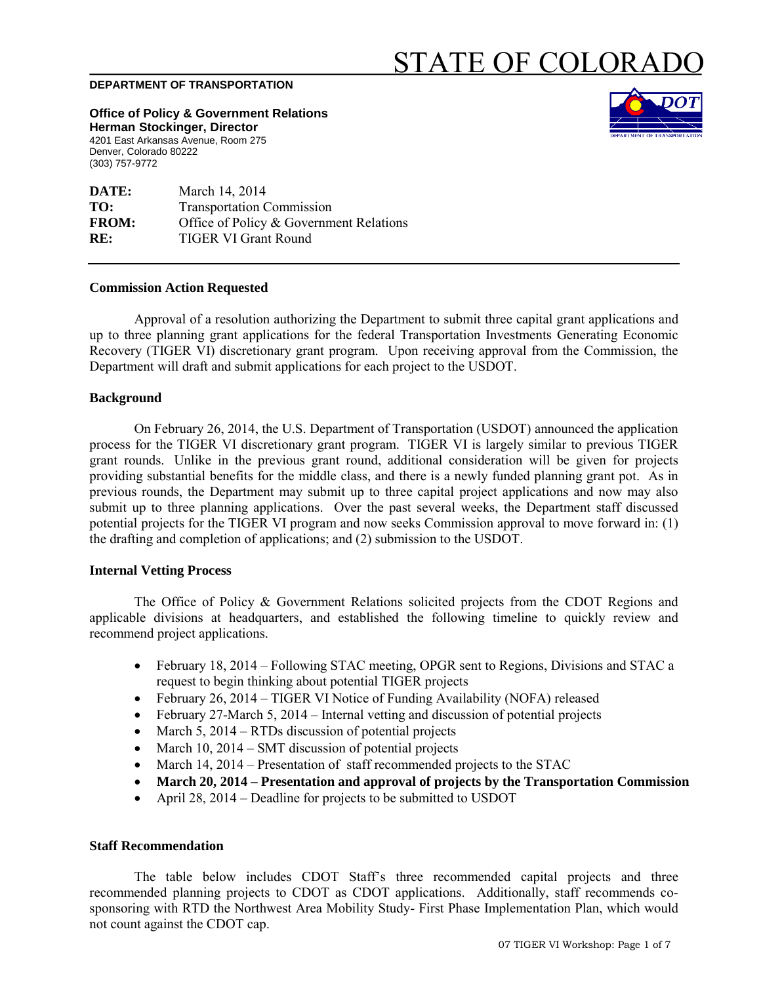# STATE OF COLORADO

#### **DEPARTMENT OF TRANSPORTATION**

**Office of Policy & Government Relations Herman Stockinger, Director** 4201 East Arkansas Avenue, Room 275

Denver, Colorado 80222 (303) 757-9772

**DATE:** March 14, 2014 **TO:** Transportation Commission **FROM:** Office of Policy & Government Relations **RE:** TIGER VI Grant Round

## **Commission Action Requested**

Approval of a resolution authorizing the Department to submit three capital grant applications and up to three planning grant applications for the federal Transportation Investments Generating Economic Recovery (TIGER VI) discretionary grant program. Upon receiving approval from the Commission, the Department will draft and submit applications for each project to the USDOT.

#### **Background**

On February 26, 2014, the U.S. Department of Transportation (USDOT) announced the application process for the TIGER VI discretionary grant program. TIGER VI is largely similar to previous TIGER grant rounds. Unlike in the previous grant round, additional consideration will be given for projects providing substantial benefits for the middle class, and there is a newly funded planning grant pot. As in previous rounds, the Department may submit up to three capital project applications and now may also submit up to three planning applications. Over the past several weeks, the Department staff discussed potential projects for the TIGER VI program and now seeks Commission approval to move forward in: (1) the drafting and completion of applications; and (2) submission to the USDOT.

# **Internal Vetting Process**

The Office of Policy & Government Relations solicited projects from the CDOT Regions and applicable divisions at headquarters, and established the following timeline to quickly review and recommend project applications.

- February 18, 2014 Following STAC meeting, OPGR sent to Regions, Divisions and STAC a request to begin thinking about potential TIGER projects
- February 26, 2014 TIGER VI Notice of Funding Availability (NOFA) released
- February 27-March 5, 2014 Internal vetting and discussion of potential projects
- March 5,  $2014 RTDs$  discussion of potential projects
- March 10, 2014 SMT discussion of potential projects
- March 14, 2014 Presentation of staff recommended projects to the STAC
- **March 20, 2014 Presentation and approval of projects by the Transportation Commission**
- April 28, 2014 Deadline for projects to be submitted to USDOT

#### **Staff Recommendation**

The table below includes CDOT Staff's three recommended capital projects and three recommended planning projects to CDOT as CDOT applications. Additionally, staff recommends cosponsoring with RTD the Northwest Area Mobility Study- First Phase Implementation Plan, which would not count against the CDOT cap.

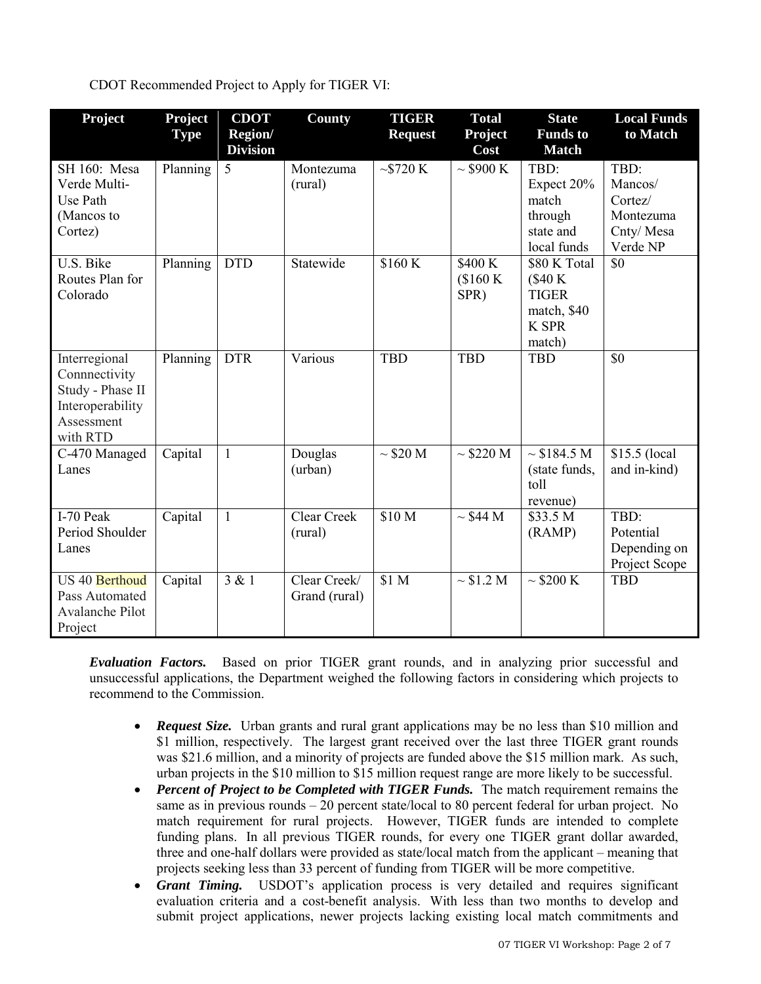# CDOT Recommended Project to Apply for TIGER VI:

| Project                                                                                          | Project<br><b>Type</b> | <b>CDOT</b><br>Region/<br><b>Division</b> | County                        | <b>TIGER</b><br><b>Request</b> | <b>Total</b><br><b>Project</b><br>Cost | <b>State</b><br><b>Funds</b> to<br><b>Match</b>                                   | <b>Local Funds</b><br>to Match                                   |
|--------------------------------------------------------------------------------------------------|------------------------|-------------------------------------------|-------------------------------|--------------------------------|----------------------------------------|-----------------------------------------------------------------------------------|------------------------------------------------------------------|
| SH 160: Mesa<br>Verde Multi-<br>Use Path<br>(Mancos to<br>Cortez)                                | Planning               | 5                                         | Montezuma<br>(rural)          | $\sim$ \$720 K                 | $\sim$ \$900 K                         | TBD:<br>Expect 20%<br>match<br>through<br>state and<br>local funds                | TBD:<br>Mancos/<br>Cortez/<br>Montezuma<br>Cnty/Mesa<br>Verde NP |
| U.S. Bike<br>Routes Plan for<br>Colorado                                                         | Planning               | <b>DTD</b>                                | Statewide                     | \$160K                         | \$400 K<br>\$160 K<br>SPR)             | \$80 K Total<br>(\$40 K)<br><b>TIGER</b><br>match, \$40<br><b>K SPR</b><br>match) | \$0                                                              |
| Interregional<br>Connnectivity<br>Study - Phase II<br>Interoperability<br>Assessment<br>with RTD | Planning               | <b>DTR</b>                                | Various                       | <b>TBD</b>                     | <b>TBD</b>                             | <b>TBD</b>                                                                        | \$0                                                              |
| C-470 Managed<br>Lanes                                                                           | Capital                | $\mathbf{1}$                              | Douglas<br>(urban)            | $\sim$ \$20 M                  | $\sim$ \$220 M                         | $\sim $184.5 M$<br>(state funds,<br>toll<br>revenue)                              | \$15.5 (local<br>and in-kind)                                    |
| I-70 Peak<br>Period Shoulder<br>Lanes                                                            | Capital                | $\mathbf{1}$                              | <b>Clear Creek</b><br>(rural) | \$10 M                         | $\sim$ \$44 M                          | \$33.5 <sub>M</sub><br>(RAMP)                                                     | TBD:<br>Potential<br>Depending on<br>Project Scope               |
| US 40 Berthoud<br>Pass Automated<br><b>Avalanche Pilot</b><br>Project                            | Capital                | 3 & 1                                     | Clear Creek/<br>Grand (rural) | \$1 M                          | $\sim$ \$1.2 M                         | $\sim$ \$200 K                                                                    | <b>TBD</b>                                                       |

*Evaluation Factors.* Based on prior TIGER grant rounds, and in analyzing prior successful and unsuccessful applications, the Department weighed the following factors in considering which projects to recommend to the Commission.

- *Request Size.* Urban grants and rural grant applications may be no less than \$10 million and \$1 million, respectively. The largest grant received over the last three TIGER grant rounds was \$21.6 million, and a minority of projects are funded above the \$15 million mark. As such, urban projects in the \$10 million to \$15 million request range are more likely to be successful.
- *Percent of Project to be Completed with TIGER Funds.* The match requirement remains the same as in previous rounds – 20 percent state/local to 80 percent federal for urban project. No match requirement for rural projects. However, TIGER funds are intended to complete funding plans. In all previous TIGER rounds, for every one TIGER grant dollar awarded, three and one-half dollars were provided as state/local match from the applicant – meaning that projects seeking less than 33 percent of funding from TIGER will be more competitive.
- *Grant Timing.* USDOT's application process is very detailed and requires significant evaluation criteria and a cost-benefit analysis. With less than two months to develop and submit project applications, newer projects lacking existing local match commitments and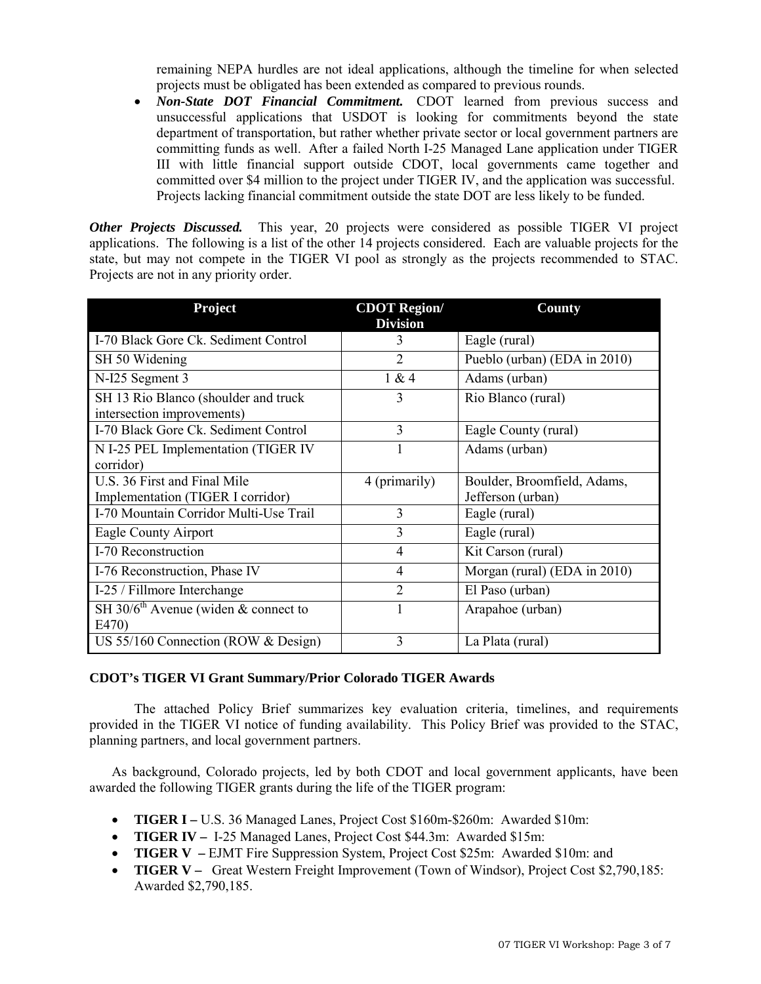remaining NEPA hurdles are not ideal applications, although the timeline for when selected projects must be obligated has been extended as compared to previous rounds.

• *Non-State DOT Financial Commitment.* CDOT learned from previous success and unsuccessful applications that USDOT is looking for commitments beyond the state department of transportation, but rather whether private sector or local government partners are committing funds as well. After a failed North I-25 Managed Lane application under TIGER III with little financial support outside CDOT, local governments came together and committed over \$4 million to the project under TIGER IV, and the application was successful. Projects lacking financial commitment outside the state DOT are less likely to be funded.

*Other Projects Discussed.* This year, 20 projects were considered as possible TIGER VI project applications. The following is a list of the other 14 projects considered. Each are valuable projects for the state, but may not compete in the TIGER VI pool as strongly as the projects recommended to STAC. Projects are not in any priority order.

| Project                                          | <b>CDOT Region/</b> | <b>County</b>                |  |
|--------------------------------------------------|---------------------|------------------------------|--|
|                                                  | <b>Division</b>     |                              |  |
| I-70 Black Gore Ck. Sediment Control             | 3                   | Eagle (rural)                |  |
| SH 50 Widening                                   | $\overline{2}$      | Pueblo (urban) (EDA in 2010) |  |
| N-I25 Segment 3                                  | 1 & 4               | Adams (urban)                |  |
| SH 13 Rio Blanco (shoulder and truck             | 3                   | Rio Blanco (rural)           |  |
| intersection improvements)                       |                     |                              |  |
| I-70 Black Gore Ck. Sediment Control             | 3                   | Eagle County (rural)         |  |
| N I-25 PEL Implementation (TIGER IV              |                     | Adams (urban)                |  |
| corridor)                                        |                     |                              |  |
| U.S. 36 First and Final Mile                     | 4 (primarily)       | Boulder, Broomfield, Adams,  |  |
| Implementation (TIGER I corridor)                |                     | Jefferson (urban)            |  |
| I-70 Mountain Corridor Multi-Use Trail           | 3                   | Eagle (rural)                |  |
| Eagle County Airport                             | 3                   | Eagle (rural)                |  |
| I-70 Reconstruction                              | $\overline{4}$      | Kit Carson (rural)           |  |
| I-76 Reconstruction, Phase IV                    | 4                   | Morgan (rural) (EDA in 2010) |  |
| I-25 / Fillmore Interchange                      | $\overline{2}$      | El Paso (urban)              |  |
| SH 30/6 <sup>th</sup> Avenue (widen & connect to |                     | Arapahoe (urban)             |  |
| E470)                                            |                     |                              |  |
| US 55/160 Connection (ROW & Design)              | 3                   | La Plata (rural)             |  |

# **CDOT's TIGER VI Grant Summary/Prior Colorado TIGER Awards**

The attached Policy Brief summarizes key evaluation criteria, timelines, and requirements provided in the TIGER VI notice of funding availability. This Policy Brief was provided to the STAC, planning partners, and local government partners.

As background, Colorado projects, led by both CDOT and local government applicants, have been awarded the following TIGER grants during the life of the TIGER program:

- **TIGER I –** U.S. 36 Managed Lanes, Project Cost \$160m-\$260m: Awarded \$10m:
- **TIGER IV –** I-25 Managed Lanes, Project Cost \$44.3m: Awarded \$15m:
- **TIGER V –** EJMT Fire Suppression System, Project Cost \$25m: Awarded \$10m: and
- **TIGER V** Great Western Freight Improvement (Town of Windsor), Project Cost \$2,790,185: Awarded \$2,790,185.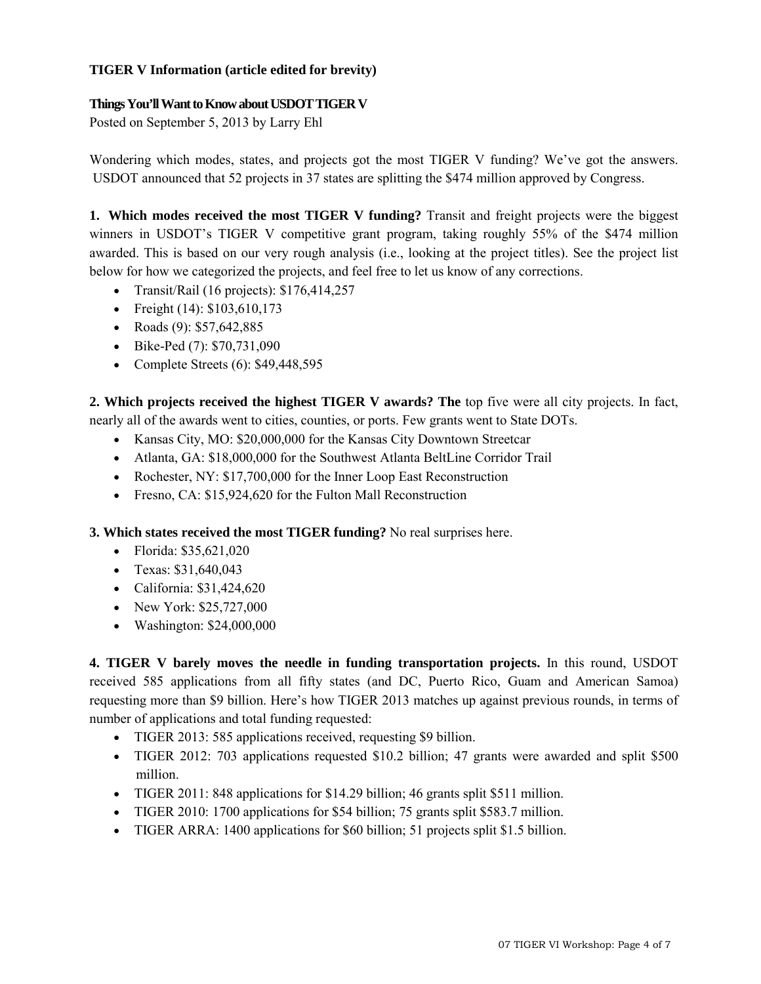# **TIGER V Information (article edited for brevity)**

# **Things You'll Want to Know about USDOT TIGER V**

Posted on September 5, 2013 by [Larry Ehl](http://www.transportationissuesdaily.com/author/larryehl/) 

Wondering which modes, states, and projects got the most TIGER V funding? We've got the answers. USDOT [announced](http://www.dot.gov/fastlane/tiger-returns) that 52 projects in 37 states are splitting the \$474 million approved by Congress.

**1. Which modes received the most TIGER V funding?** Transit and freight projects were the biggest winners in USDOT's TIGER V competitive grant program, taking roughly 55% of the \$474 million awarded. This is based on our very rough analysis (i.e., looking at the project titles). See the project list below for how we categorized the projects, and feel free to let us know of any corrections.

- Transit/Rail (16 projects): \$176,414,257
- Freight (14): \$103,610,173
- Roads (9): \$57,642,885
- Bike-Ped (7): \$70,731,090
- Complete Streets (6): \$49,448,595

**2. Which projects received the highest TIGER V awards? The** top five were all city projects. In fact, nearly all of the awards went to cities, counties, or ports. Few grants went to State DOTs.

- Kansas City, MO: \$20,000,000 for the Kansas City Downtown Streetcar
- Atlanta, GA: \$18,000,000 for the Southwest Atlanta BeltLine Corridor Trail
- Rochester, NY: \$17,700,000 for the Inner Loop East Reconstruction
- Fresno, CA: \$15,924,620 for the Fulton Mall Reconstruction

**3. Which states received the most TIGER funding?** No real surprises here.

- Florida: \$35,621,020
- Texas: \$31,640,043
- California: \$31,424,620
- New York: \$25,727,000
- Washington: \$24,000,000

**4. TIGER V barely moves the needle in funding transportation projects.** In this round, USDOT received 585 applications from all fifty states (and DC, Puerto Rico, Guam and American Samoa) requesting more than \$9 billion. Here's how TIGER 2013 matches up against previous rounds, in terms of number of applications and total funding requested:

- TIGER 2013: 585 applications received, requesting \$9 billion.
- TIGER 2012: 703 applications requested \$10.2 billion; 47 grants were awarded and split \$500 million.
- TIGER 2011: 848 applications for \$14.29 billion; 46 grants split \$511 million.
- TIGER 2010: 1700 applications for \$54 billion; 75 grants split \$583.7 million.
- TIGER ARRA: 1400 applications for \$60 billion; 51 projects split \$1.5 billion.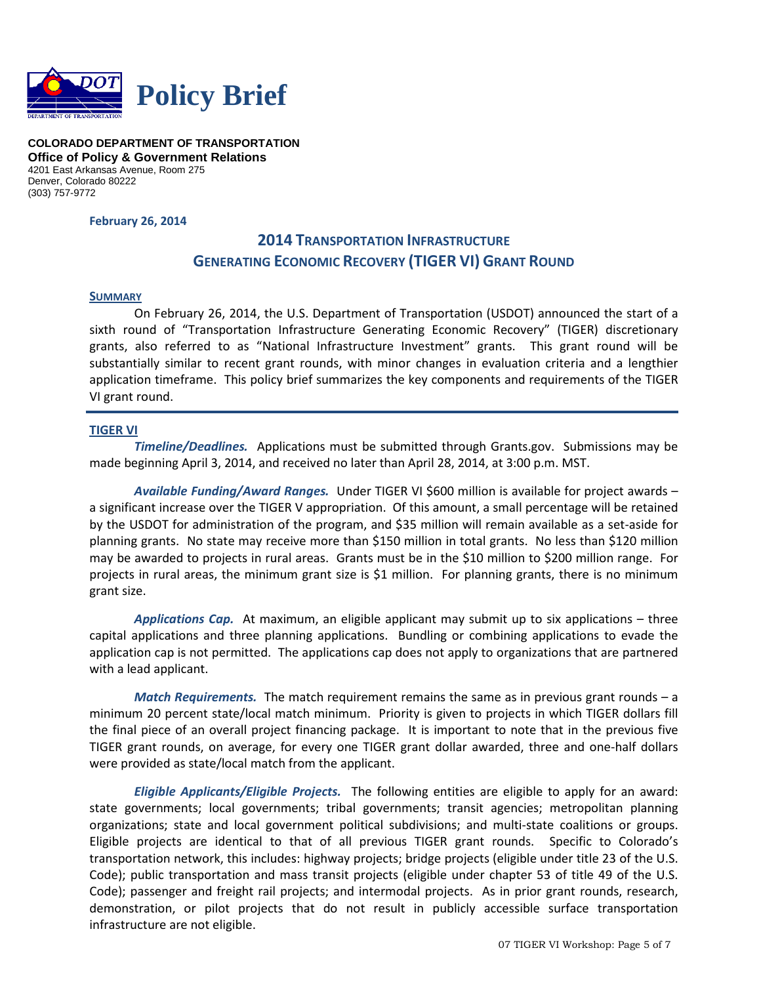

**COLORADO DEPARTMENT OF TRANSPORTATION Office of Policy & Government Relations** 4201 East Arkansas Avenue, Room 275 Denver, Colorado 80222 (303) 757-9772

**February 26, 2014**

# **2014 TRANSPORTATION INFRASTRUCTURE GENERATING ECONOMIC RECOVERY (TIGER VI) GRANT ROUND**

#### **SUMMARY**

On February 26, 2014, the U.S. Department of Transportation (USDOT) announced the start of a sixth round of "Transportation Infrastructure Generating Economic Recovery" (TIGER) discretionary grants, also referred to as "National Infrastructure Investment" grants. This grant round will be substantially similar to recent grant rounds, with minor changes in evaluation criteria and a lengthier application timeframe. This policy brief summarizes the key components and requirements of the TIGER VI grant round.

## **TIGER VI**

*Timeline/Deadlines.* Applications must be submitted through Grants.gov. Submissions may be made beginning April 3, 2014, and received no later than April 28, 2014, at 3:00 p.m. MST.

*Available Funding/Award Ranges.* Under TIGER VI \$600 million is available for project awards – a significant increase over the TIGER V appropriation. Of this amount, a small percentage will be retained by the USDOT for administration of the program, and \$35 million will remain available as a set-aside for planning grants. No state may receive more than \$150 million in total grants. No less than \$120 million may be awarded to projects in rural areas. Grants must be in the \$10 million to \$200 million range. For projects in rural areas, the minimum grant size is \$1 million. For planning grants, there is no minimum grant size.

*Applications Cap.* At maximum, an eligible applicant may submit up to six applications – three capital applications and three planning applications. Bundling or combining applications to evade the application cap is not permitted. The applications cap does not apply to organizations that are partnered with a lead applicant.

*Match Requirements.* The match requirement remains the same as in previous grant rounds – a minimum 20 percent state/local match minimum. Priority is given to projects in which TIGER dollars fill the final piece of an overall project financing package. It is important to note that in the previous five TIGER grant rounds, on average, for every one TIGER grant dollar awarded, three and one-half dollars were provided as state/local match from the applicant.

*Eligible Applicants/Eligible Projects.* The following entities are eligible to apply for an award: state governments; local governments; tribal governments; transit agencies; metropolitan planning organizations; state and local government political subdivisions; and multi-state coalitions or groups. Eligible projects are identical to that of all previous TIGER grant rounds. Specific to Colorado's transportation network, this includes: highway projects; bridge projects (eligible under title 23 of the U.S. Code); public transportation and mass transit projects (eligible under chapter 53 of title 49 of the U.S. Code); passenger and freight rail projects; and intermodal projects. As in prior grant rounds, research, demonstration, or pilot projects that do not result in publicly accessible surface transportation infrastructure are not eligible.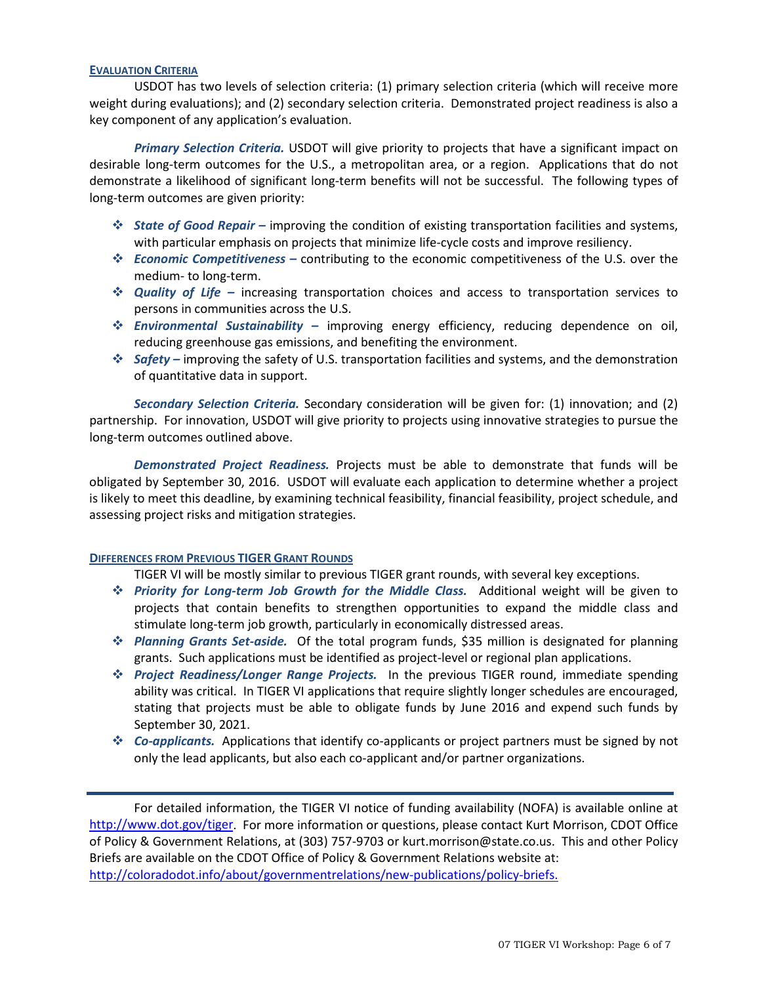#### **EVALUATION CRITERIA**

USDOT has two levels of selection criteria: (1) primary selection criteria (which will receive more weight during evaluations); and (2) secondary selection criteria. Demonstrated project readiness is also a key component of any application's evaluation.

*Primary Selection Criteria.* USDOT will give priority to projects that have a significant impact on desirable long-term outcomes for the U.S., a metropolitan area, or a region. Applications that do not demonstrate a likelihood of significant long-term benefits will not be successful. The following types of long-term outcomes are given priority:

- *State of Good Repair* improving the condition of existing transportation facilities and systems, with particular emphasis on projects that minimize life-cycle costs and improve resiliency.
- *Economic Competitiveness –* contributing to the economic competitiveness of the U.S. over the medium- to long-term.
- *Quality of Life –* increasing transportation choices and access to transportation services to persons in communities across the U.S.
- *Environmental Sustainability* improving energy efficiency, reducing dependence on oil, reducing greenhouse gas emissions, and benefiting the environment.
- *Safety* improving the safety of U.S. transportation facilities and systems, and the demonstration of quantitative data in support.

*Secondary Selection Criteria.* Secondary consideration will be given for: (1) innovation; and (2) partnership. For innovation, USDOT will give priority to projects using innovative strategies to pursue the long-term outcomes outlined above.

*Demonstrated Project Readiness.* Projects must be able to demonstrate that funds will be obligated by September 30, 2016. USDOT will evaluate each application to determine whether a project is likely to meet this deadline, by examining technical feasibility, financial feasibility, project schedule, and assessing project risks and mitigation strategies.

#### **DIFFERENCES FROM PREVIOUS TIGER GRANT ROUNDS**

TIGER VI will be mostly similar to previous TIGER grant rounds, with several key exceptions.

- *Priority for Long-term Job Growth for the Middle Class.* Additional weight will be given to projects that contain benefits to strengthen opportunities to expand the middle class and stimulate long-term job growth, particularly in economically distressed areas.
- *Planning Grants Set-aside.* Of the total program funds, \$35 million is designated for planning grants. Such applications must be identified as project-level or regional plan applications.
- *Project Readiness/Longer Range Projects.* In the previous TIGER round, immediate spending ability was critical. In TIGER VI applications that require slightly longer schedules are encouraged, stating that projects must be able to obligate funds by June 2016 and expend such funds by September 30, 2021.
- *Co-applicants.* Applications that identify co-applicants or project partners must be signed by not only the lead applicants, but also each co-applicant and/or partner organizations.

For detailed information, the TIGER VI notice of funding availability (NOFA) is available online at [http://www.dot.gov/tiger.](http://www.dot.gov/tiger) For more information or questions, please contact Kurt Morrison, CDOT Office of Policy & Government Relations, at (303) 757-9703 or kurt.morrison@state.co.us. This and other Policy Briefs are available on the CDOT Office of Policy & Government Relations website at: [http://coloradodot.info/about/governmentrelations/new-publications/policy-briefs.](http://coloradodot.info/about/governmentrelations/new-publications/policy-briefs)